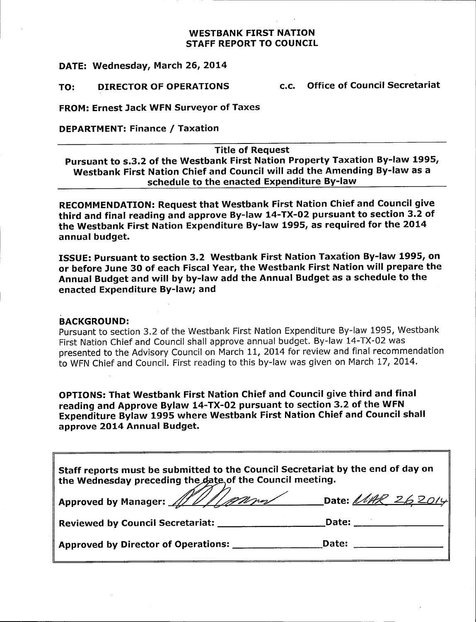## WESTBANK FIRST NATION STAFF REPORT TO COUNCIL

DATE: Wednesday, March 26, 2014

TO: DIRECTOR OF OPERATIONS c.c. Office of Council Secretariat

FROM: Ernest Jack WFN Surveyor of Taxes

DEPARTMENT: Finance / Taxation

Title of Request

Pursuant to s.3.2 of the Westbank First Nation Property Taxation By-law 1995, Westbank First Nation Chief and Council will add the Amending By-law as a schedule to the enacted Expenditure By-law

RECOMMENDATION: Request that Westbank First Nation Chief and Council give third and final reading and approve By-law 14-TX-02 pursuant to section 3.2 of the Westbank First Nation Expenditure By -law 1995, as required for the 2014 annual budget.

ISSUE: Pursuant to section 3. 2 Westbank First Nation Taxation By -law 1995, on or before June 30 of each Fiscal Year, the Westbank First Nation will prepare the Annual Budget and will by by -law add the Annual Budget as <sup>a</sup> schedule to the enacted Expenditure By -law; and

# BACKGROUND:

Pursuant to section 3.2 of the Westbank First Nation Expenditure By-law 1995, Westbank First Nation Chief and Council shall approve annual budget. By -law 14 -TX -02 was presented to the Advisory Council on March 11, 2014 for review and final recommendation to WFN Chief and Council. First reading to this by -law was given on March 17, 2014.

OPTIONS: That Westbank First Nation Chief and Council give third and final reading and Approve Bylaw 14-TX-02 pursuant to section 3.2 of the WFN Expenditure Bylaw 1995 where Westbank First Nation Chief and Council shall approve 2014 Annual Budget.

Staff reports must be submitted to the Council Secretariat by the end of day on the Wednesday preceding the date of the Council meeting.

| Approved by Manager: All Allemn | Date: <i>MAR 262014</i> |  |
|---------------------------------|-------------------------|--|
|---------------------------------|-------------------------|--|

| <b>Reviewed by Council Secretariat:</b> | Date: |
|-----------------------------------------|-------|
|-----------------------------------------|-------|

Approved by Director of Operations: \_\_\_\_\_\_\_\_\_\_\_\_\_\_\_\_\_\_\_\_\_Date: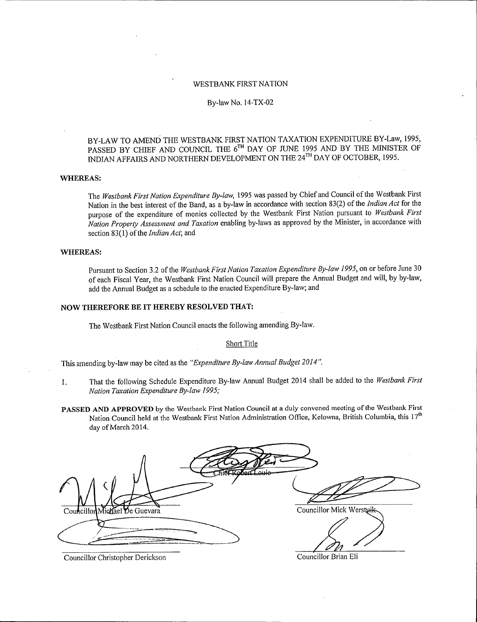## WESTBANK FIRST NATION

#### By-law No. 14-TX-02

BY -LAW TO AMEND THE WESTBANK FIRST NATION TAXATION EXPENDITURE BY -Law, 1995, PASSED BY CHIEF AND COUNCIL THE 6<sup>TH</sup> DAY OF JUNE 1995 AND BY THE MINISTER OF INDIAN AFFAIRS AND NORTHERN DEVELOPMENT ON THE 24<sup>TH</sup> DAY OF OCTOBER, 1995.

#### WHEREAS:

The Westbank First Nation Expenditure By-law, 1995 was passed by Chief and Council of the Westbank First Nation in the best interest of the Band, as a by-law in accordance with section 83(2) of the Indian Act for the purpose of the expenditure of monies collected by the Westbank First Nation pursuant to Westbank First Nation Property Assessment and Taxation enabling by -laws as approved by the Minister, in accordance with section 83(1) of the Indian Act; and

## WHEREAS:

Pursuant to Section 3.2 of the Westbank First Nation Taxation Expenditure By-law 1995, on or before June 30 of each Fiscal Year, the Westbank First Nation Council will prepare the Annual Budget and will, by by -law, add the Annual Budget as a schedule to the enacted Expenditure By -law; and

#### NOW THEREFORE BE IT HEREBY RESOLVED THAT:

The Westbank First Nation Council enacts the following amending By -law.

#### Short Title

This amending by-law may be cited as the "Expenditure By-law Annual Budget 2014".

- 1. That the following Schedule Expenditure By-law Annual Budget 2014 shall be added to the Westbank First Nation Taxation Expenditure By-law 1995;
- PASSED AND APPROVED by the Westbank First Nation Council at a duly convened meeting of the Westbank First Nation Council held at the Westbank First Nation Administration Office, Kelowna, British Columbia, this  $17<sup>th</sup>$ day of March 2014.

Councillor Michael De Guevara Councillor Mick Wersturk

Councillor Christopher Derickson Councillor Brian Eli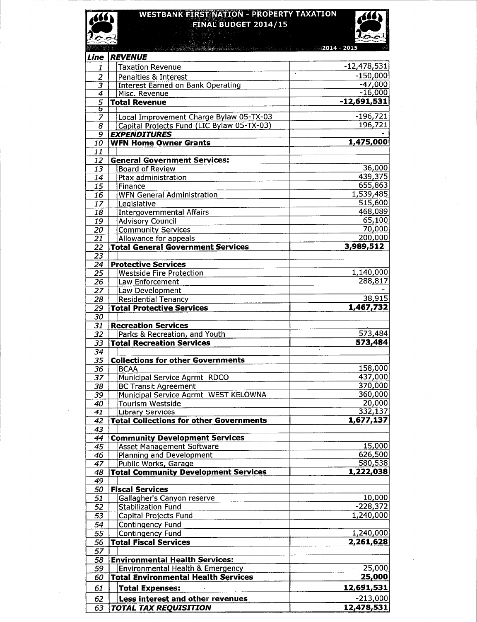#### WESTBANK FI **FINAL BUDGET 2014** RTY TAXATION



 $\overline{160}$ 

| <i>發行, '이</i> 를       | $\frac{1}{200}$ and the set of the set of the set of $2014$ – $2015$ . |                                |
|-----------------------|------------------------------------------------------------------------|--------------------------------|
| Line                  | <b>REVENUE</b>                                                         |                                |
| $\mathbf{1}$          | <b>Taxation Revenue</b>                                                | $-12,478,531$                  |
| $\overline{c}$        | ٠.<br>Penalties & Interest                                             | $-150,000$                     |
|                       | Interest Earned on Bank Operating                                      | $-47,000$                      |
| 4                     | Misc. Revenue                                                          | $-16,000$                      |
| $\overline{5}$        | <b>Total Revenue</b>                                                   | $-12,691,531$                  |
| ъ<br>$\overline{7}$   | Local Improvement Charge Bylaw 05-TX-03                                | $-196,721$                     |
| $\overline{8}$        | Capital Projects Fund (LIC Bylaw 05-TX-03)                             | 196,721                        |
| 9.                    | <b>EXPENDITURES</b>                                                    |                                |
| 10                    | <b>WFN Home Owner Grants</b>                                           | 1,475,000                      |
| 11                    |                                                                        |                                |
| 12                    | <b>General Government Services:</b>                                    |                                |
| 13                    | <b>Board of Review</b>                                                 | 36,000                         |
| 14                    | Ptax administration                                                    | 439,375                        |
| 15                    | Finance                                                                | 655,863                        |
| 16                    | <b>WFN General Administration</b>                                      | 1,539,485                      |
| $\overline{17}$       | Legislative                                                            | 515,600                        |
| 18                    | <b>Intergovernmental Affairs</b>                                       | 468,089<br>65,100              |
| 19<br>$\overline{20}$ | <b>Advisory Council</b>                                                | 70,000                         |
| $\overline{21}$       | <b>Community Services</b><br>Allowance for appeals                     | 200,000                        |
| $\overline{22}$       | <b>Total General Government Services</b>                               | 3,989,512                      |
| $\overline{23}$       |                                                                        |                                |
| 24                    | <b>Protective Services</b>                                             |                                |
| 25                    | <b>Westside Fire Protection</b>                                        | 1,140,000                      |
| $\overline{26}$       | Law Enforcement                                                        | 288,817                        |
| 27                    | Law Development                                                        |                                |
| $\overline{28}$       | <b>Residential Tenancy</b>                                             | 38,915                         |
| $\overline{29}$       | <b>Total Protective Services</b>                                       | 1,467,732                      |
| $\overline{30}$       |                                                                        |                                |
| 31                    | <b>Recreation Services</b>                                             |                                |
| 32                    | Parks & Recreation, and Youth                                          | 573,484                        |
| 33<br>$\overline{34}$ | <b>Total Recreation Services</b>                                       | 573,484<br>$\hat{\phantom{a}}$ |
| $\overline{35}$       | <b>Collections for other Governments</b>                               |                                |
| $\overline{36}$       | <b>BCAA</b>                                                            | 158,000                        |
| 37                    | Municipal Service Agrmt RDCO                                           | 437,000                        |
| 38                    | <b>BC Transit Agreement</b>                                            | 370,000                        |
| 39                    | Municipal Service Agrmt WEST KELOWNA                                   | 360,000                        |
| 40                    | <b>Tourism Westside</b>                                                | $\frac{20,000}{332,137}$       |
| 41                    | <b>Library Services</b>                                                |                                |
| 42                    | <b>Total Collections for other Governments</b>                         | 1,677,137                      |
| 43                    |                                                                        |                                |
| 44                    | <b>Community Development Services</b>                                  |                                |
| 45<br>46              | <b>Asset Management Software</b><br>Planning and Development           | 15,000<br>626,500              |
| 47                    | Public Works, Garage                                                   | 580,538                        |
| 48                    | <b>Total Community Development Services</b>                            | 1,222,038                      |
| 49                    |                                                                        |                                |
| 50                    | <b>Fiscal Services</b>                                                 |                                |
| 51                    | Gallagher's Canyon reserve                                             | 10,000                         |
| 52                    | <b>Stabilization Fund</b>                                              | $-228,372$                     |
| 53                    | Capital Projects Fund                                                  | 1,240,000                      |
| 54                    | Contingency Fund                                                       |                                |
| 55                    | <b>Contingency Fund</b>                                                | 1,240,000                      |
| 56                    | <b>Total Fiscal Services</b>                                           | 2,261,628                      |
| 57                    |                                                                        |                                |
| 58                    | <b>Environmental Health Services:</b>                                  |                                |
| 59                    | <b>Environmental Health &amp; Emergency</b>                            | 25,000                         |
| 60                    | <b>Total Environmental Health Services</b>                             | 25,000                         |
| 61                    | <b>Total Expenses:</b>                                                 | 12,691,531                     |
| 62                    | Less interest and other revenues                                       | $-213,000$                     |
| 63                    | <b>TOTAL TAX REQUISITION</b>                                           | 12,478,531                     |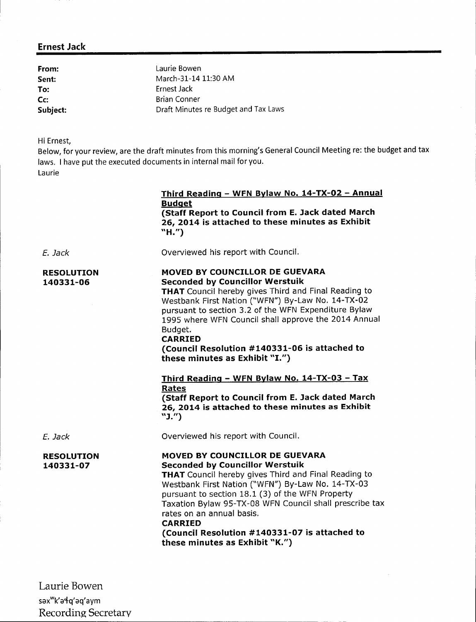# Ernest Jack

From: Laurie Bowen **Sent:** March-31-14 11:30 AM To: Ernest Jack Cc: Brian Conner Subject: Subject: Draft Minutes re Budget and Tax Laws

Hi Ernest,

Below, for your review, are the draft minutes from this morning's General Council Meeting re: the budget and tax laws. I have put the executed documents in internal mail for you. Laurie

|                                | Third Reading - WFN Bylaw No. 14-TX-02 - Annual<br><b>Budget</b><br>(Staff Report to Council from E. Jack dated March<br>26, 2014 is attached to these minutes as Exhibit<br>"H.")                                                                                                                                                                                                                                                                                                                                                                                                                             |
|--------------------------------|----------------------------------------------------------------------------------------------------------------------------------------------------------------------------------------------------------------------------------------------------------------------------------------------------------------------------------------------------------------------------------------------------------------------------------------------------------------------------------------------------------------------------------------------------------------------------------------------------------------|
| F. Jack                        | Overviewed his report with Council.                                                                                                                                                                                                                                                                                                                                                                                                                                                                                                                                                                            |
| <b>RESOLUTION</b><br>140331-06 | MOVED BY COUNCILLOR DE GUEVARA<br><b>Seconded by Councillor Werstuik</b><br><b>THAT</b> Council hereby gives Third and Final Reading to<br>Westbank First Nation ("WFN") By-Law No. 14-TX-02<br>pursuant to section 3.2 of the WFN Expenditure Bylaw<br>1995 where WFN Council shall approve the 2014 Annual<br>Budget.<br><b>CARRIED</b><br>(Council Resolution #140331-06 is attached to<br>these minutes as Exhibit "I.")<br><u>Third Reading - WFN Bylaw No. 14-TX-03 - Tax</u><br>Rates<br>(Staff Report to Council from E. Jack dated March<br>26, 2014 is attached to these minutes as Exhibit<br>"J.") |
| E. Jack                        | Overviewed his report with Council.                                                                                                                                                                                                                                                                                                                                                                                                                                                                                                                                                                            |
| <b>RESOLUTION</b><br>140331-07 | MOVED BY COUNCILLOR DE GUEVARA<br><b>Seconded by Councillor Werstuik</b><br>THAT Council hereby gives Third and Final Reading to<br>Westbank First Nation ("WFN") By-Law No. 14-TX-03<br>pursuant to section 18.1 (3) of the WFN Property<br>Taxation Bylaw 95-TX-08 WFN Council shall prescribe tax<br>rates on an annual basis.<br><b>CARRIED</b><br>(Council Resolution #140331-07 is attached to<br>these minutes as Exhibit "K.")                                                                                                                                                                         |

Laurie Bowen sax"k'a4q'aq'aym Recording Secretary